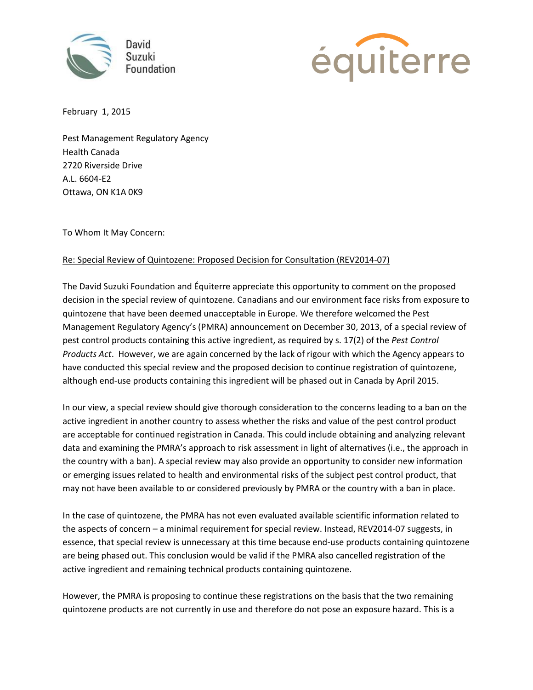



February 1, 2015

Pest Management Regulatory Agency Health Canada 2720 Riverside Drive A.L. 6604-E2 Ottawa, ON K1A 0K9

To Whom It May Concern:

## Re: Special Review of Quintozene: Proposed Decision for Consultation (REV2014-07)

The David Suzuki Foundation and Équiterre appreciate this opportunity to comment on the proposed decision in the special review of quintozene. Canadians and our environment face risks from exposure to quintozene that have been deemed unacceptable in Europe. We therefore welcomed the Pest Management Regulatory Agency's (PMRA) announcement on December 30, 2013, of a special review of pest control products containing this active ingredient, as required by s. 17(2) of the *Pest Control Products Act*. However, we are again concerned by the lack of rigour with which the Agency appears to have conducted this special review and the proposed decision to continue registration of quintozene, although end-use products containing this ingredient will be phased out in Canada by April 2015.

In our view, a special review should give thorough consideration to the concerns leading to a ban on the active ingredient in another country to assess whether the risks and value of the pest control product are acceptable for continued registration in Canada. This could include obtaining and analyzing relevant data and examining the PMRA's approach to risk assessment in light of alternatives (i.e., the approach in the country with a ban). A special review may also provide an opportunity to consider new information or emerging issues related to health and environmental risks of the subject pest control product, that may not have been available to or considered previously by PMRA or the country with a ban in place.

In the case of quintozene, the PMRA has not even evaluated available scientific information related to the aspects of concern – a minimal requirement for special review. Instead, REV2014-07 suggests, in essence, that special review is unnecessary at this time because end-use products containing quintozene are being phased out. This conclusion would be valid if the PMRA also cancelled registration of the active ingredient and remaining technical products containing quintozene.

However, the PMRA is proposing to continue these registrations on the basis that the two remaining quintozene products are not currently in use and therefore do not pose an exposure hazard. This is a